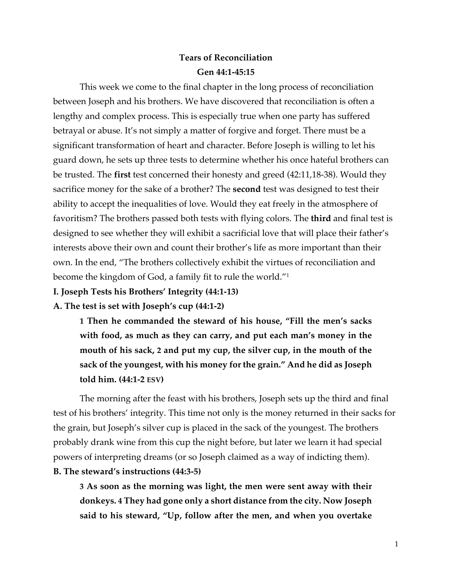# **Tears of Reconciliation**

#### **Gen 44:1-45:15**

This week we come to the final chapter in the long process of reconciliation between Joseph and his brothers. We have discovered that reconciliation is often a lengthy and complex process. This is especially true when one party has suffered betrayal or abuse. It's not simply a matter of forgive and forget. There must be a significant transformation of heart and character. Before Joseph is willing to let his guard down, he sets up three tests to determine whether his once hateful brothers can be trusted. The **first** test concerned their honesty and greed (42:11,18-38). Would they sacrifice money for the sake of a brother? The **second** test was designed to test their ability to accept the inequalities of love. Would they eat freely in the atmosphere of favoritism? The brothers passed both tests with flying colors. The **third** and final test is designed to see whether they will exhibit a sacrificial love that will place their father's interests above their own and count their brother's life as more important than their own. In the end, "The brothers collectively exhibit the virtues of reconciliation and become the kingdom of God, a family fit to rule the world."1

**I. Joseph Tests his Brothers' Integrity (44:1-13)**

**A. The test is set with Joseph's cup (44:1-2)**

**1 Then he commanded the steward of his house, "Fill the men's sacks with food, as much as they can carry, and put each man's money in the mouth of his sack, 2 and put my cup, the silver cup, in the mouth of the sack of the youngest, with his money for the grain." And he did as Joseph told him. (44:1-2 ESV)**

The morning after the feast with his brothers, Joseph sets up the third and final test of his brothers' integrity. This time not only is the money returned in their sacks for the grain, but Joseph's silver cup is placed in the sack of the youngest. The brothers probably drank wine from this cup the night before, but later we learn it had special powers of interpreting dreams (or so Joseph claimed as a way of indicting them). **B. The steward's instructions (44:3-5)**

**3 As soon as the morning was light, the men were sent away with their donkeys. 4 They had gone only a short distance from the city. Now Joseph said to his steward, "Up, follow after the men, and when you overtake**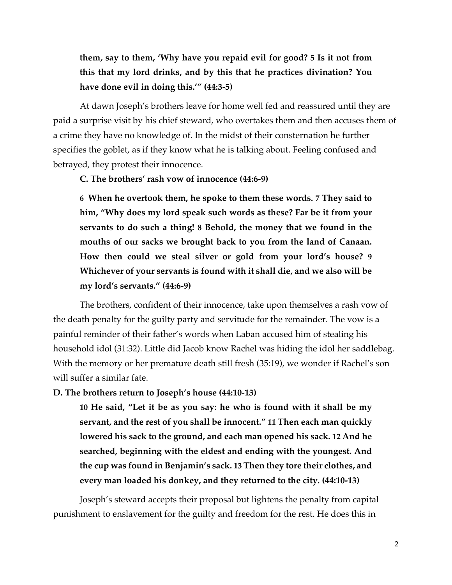# **them, say to them, 'Why have you repaid evil for good? 5 Is it not from this that my lord drinks, and by this that he practices divination? You have done evil in doing this.'" (44:3-5)**

At dawn Joseph's brothers leave for home well fed and reassured until they are paid a surprise visit by his chief steward, who overtakes them and then accuses them of a crime they have no knowledge of. In the midst of their consternation he further specifies the goblet, as if they know what he is talking about. Feeling confused and betrayed, they protest their innocence.

#### **C. The brothers' rash vow of innocence (44:6-9)**

**6 When he overtook them, he spoke to them these words. 7 They said to him, "Why does my lord speak such words as these? Far be it from your servants to do such a thing! 8 Behold, the money that we found in the mouths of our sacks we brought back to you from the land of Canaan. How then could we steal silver or gold from your lord's house? 9 Whichever of your servants is found with it shall die, and we also will be my lord's servants." (44:6-9)**

The brothers, confident of their innocence, take upon themselves a rash vow of the death penalty for the guilty party and servitude for the remainder. The vow is a painful reminder of their father's words when Laban accused him of stealing his household idol (31:32). Little did Jacob know Rachel was hiding the idol her saddlebag. With the memory or her premature death still fresh (35:19), we wonder if Rachel's son will suffer a similar fate.

### **D. The brothers return to Joseph's house (44:10-13)**

**10 He said, "Let it be as you say: he who is found with it shall be my servant, and the rest of you shall be innocent." 11 Then each man quickly lowered his sack to the ground, and each man opened his sack. 12 And he searched, beginning with the eldest and ending with the youngest. And the cup was found in Benjamin's sack. 13 Then they tore their clothes, and every man loaded his donkey, and they returned to the city. (44:10-13)**

Joseph's steward accepts their proposal but lightens the penalty from capital punishment to enslavement for the guilty and freedom for the rest. He does this in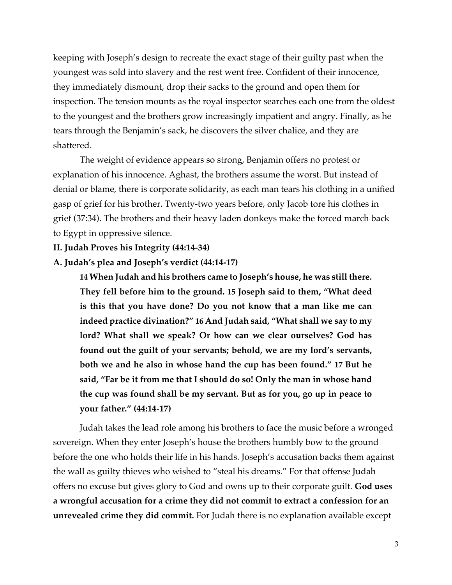keeping with Joseph's design to recreate the exact stage of their guilty past when the youngest was sold into slavery and the rest went free. Confident of their innocence, they immediately dismount, drop their sacks to the ground and open them for inspection. The tension mounts as the royal inspector searches each one from the oldest to the youngest and the brothers grow increasingly impatient and angry. Finally, as he tears through the Benjamin's sack, he discovers the silver chalice, and they are shattered.

The weight of evidence appears so strong, Benjamin offers no protest or explanation of his innocence. Aghast, the brothers assume the worst. But instead of denial or blame, there is corporate solidarity, as each man tears his clothing in a unified gasp of grief for his brother. Twenty-two years before, only Jacob tore his clothes in grief (37:34). The brothers and their heavy laden donkeys make the forced march back to Egypt in oppressive silence.

### **II. Judah Proves his Integrity (44:14-34)**

#### **A. Judah's plea and Joseph's verdict (44:14-17)**

**14 When Judah and his brothers came to Joseph's house, he was still there. They fell before him to the ground. 15 Joseph said to them, "What deed is this that you have done? Do you not know that a man like me can indeed practice divination?" 16 And Judah said, "What shall we say to my lord? What shall we speak? Or how can we clear ourselves? God has found out the guilt of your servants; behold, we are my lord's servants, both we and he also in whose hand the cup has been found." 17 But he said, "Far be it from me that I should do so! Only the man in whose hand the cup was found shall be my servant. But as for you, go up in peace to your father." (44:14-17)**

Judah takes the lead role among his brothers to face the music before a wronged sovereign. When they enter Joseph's house the brothers humbly bow to the ground before the one who holds their life in his hands. Joseph's accusation backs them against the wall as guilty thieves who wished to "steal his dreams." For that offense Judah offers no excuse but gives glory to God and owns up to their corporate guilt. **God uses a wrongful accusation for a crime they did not commit to extract a confession for an unrevealed crime they did commit.** For Judah there is no explanation available except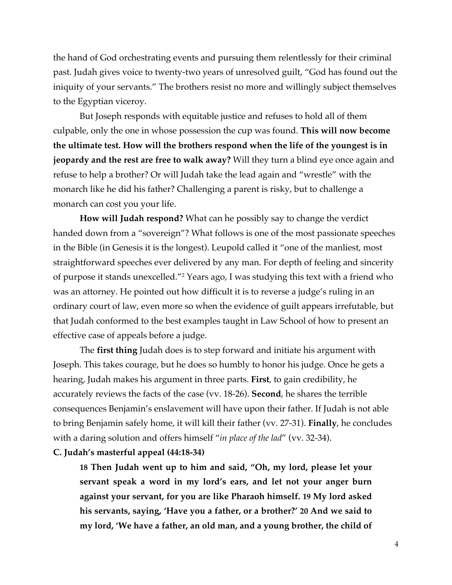the hand of God orchestrating events and pursuing them relentlessly for their criminal past. Judah gives voice to twenty-two years of unresolved guilt, "God has found out the iniquity of your servants." The brothers resist no more and willingly subject themselves to the Egyptian viceroy.

But Joseph responds with equitable justice and refuses to hold all of them culpable, only the one in whose possession the cup was found. **This will now become the ultimate test. How will the brothers respond when the life of the youngest is in jeopardy and the rest are free to walk away?** Will they turn a blind eye once again and refuse to help a brother? Or will Judah take the lead again and "wrestle" with the monarch like he did his father? Challenging a parent is risky, but to challenge a monarch can cost you your life.

**How will Judah respond?** What can he possibly say to change the verdict handed down from a "sovereign"? What follows is one of the most passionate speeches in the Bible (in Genesis it is the longest). Leupold called it "one of the manliest, most straightforward speeches ever delivered by any man. For depth of feeling and sincerity of purpose it stands unexcelled."2 Years ago, I was studying this text with a friend who was an attorney. He pointed out how difficult it is to reverse a judge's ruling in an ordinary court of law, even more so when the evidence of guilt appears irrefutable, but that Judah conformed to the best examples taught in Law School of how to present an effective case of appeals before a judge.

The **first thing** Judah does is to step forward and initiate his argument with Joseph. This takes courage, but he does so humbly to honor his judge. Once he gets a hearing, Judah makes his argument in three parts. **First**, to gain credibility, he accurately reviews the facts of the case (vv. 18-26). **Second**, he shares the terrible consequences Benjamin's enslavement will have upon their father. If Judah is not able to bring Benjamin safely home, it will kill their father (vv. 27-31). **Finally**, he concludes with a daring solution and offers himself "*in place of the lad*" (vv. 32-34).

### **C. Judah's masterful appeal (44:18-34)**

**18 Then Judah went up to him and said, "Oh, my lord, please let your servant speak a word in my lord's ears, and let not your anger burn against your servant, for you are like Pharaoh himself. 19 My lord asked his servants, saying, 'Have you a father, or a brother?' 20 And we said to my lord, 'We have a father, an old man, and a young brother, the child of**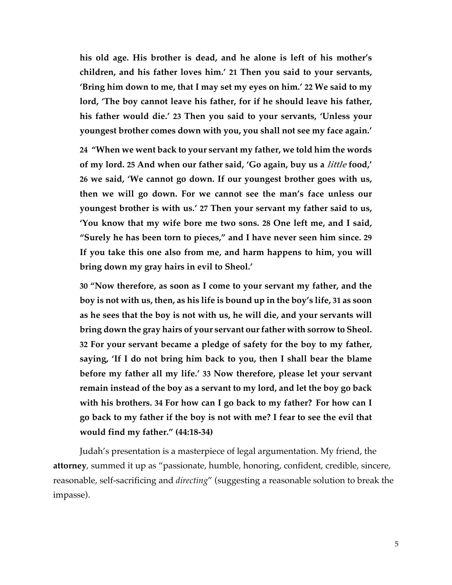**his old age. His brother is dead, and he alone is left of his mother's children, and his father loves him.' 21 Then you said to your servants, 'Bring him down to me, that I may set my eyes on him.' 22 We said to my lord, 'The boy cannot leave his father, for if he should leave his father, his father would die.' 23 Then you said to your servants, 'Unless your youngest brother comes down with you, you shall not see my face again.'**

**24 "When we went back to your servant my father, we told him the words of my lord. 25 And when our father said, 'Go again, buy us a little food,' 26 we said, 'We cannot go down. If our youngest brother goes with us, then we will go down. For we cannot see the man's face unless our youngest brother is with us.' 27 Then your servant my father said to us, 'You know that my wife bore me two sons. 28 One left me, and I said, "Surely he has been torn to pieces," and I have never seen him since. 29 If you take this one also from me, and harm happens to him, you will bring down my gray hairs in evil to Sheol.'**

**30 "Now therefore, as soon as I come to your servant my father, and the boy is not with us, then, as his life is bound up in the boy's life, 31 as soon as he sees that the boy is not with us, he will die, and your servants will bring down the gray hairs of your servant our father with sorrow to Sheol. 32 For your servant became a pledge of safety for the boy to my father, saying, 'If I do not bring him back to you, then I shall bear the blame before my father all my life.' 33 Now therefore, please let your servant remain instead of the boy as a servant to my lord, and let the boy go back with his brothers. 34 For how can I go back to my father? For how can I go back to my father if the boy is not with me? I fear to see the evil that would find my father." (44:18-34)**

Judah's presentation is a masterpiece of legal argumentation. My friend, the **attorney**, summed it up as "passionate, humble, honoring, confident, credible, sincere, reasonable, self-sacrificing and *directing*" (suggesting a reasonable solution to break the impasse).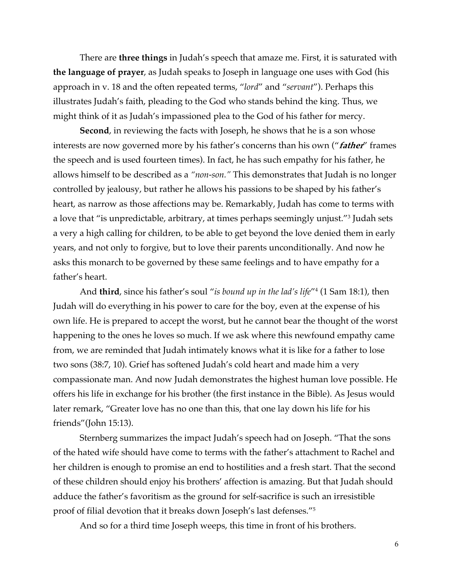There are **three things** in Judah's speech that amaze me. First, it is saturated with **the language of prayer**, as Judah speaks to Joseph in language one uses with God (his approach in v. 18 and the often repeated terms, "*lord*" and "*servant*"). Perhaps this illustrates Judah's faith, pleading to the God who stands behind the king. Thus, we might think of it as Judah's impassioned plea to the God of his father for mercy.

**Second**, in reviewing the facts with Joseph, he shows that he is a son whose interests are now governed more by his father's concerns than his own ("**father**" frames the speech and is used fourteen times). In fact, he has such empathy for his father, he allows himself to be described as a *"non-son."* This demonstrates that Judah is no longer controlled by jealousy, but rather he allows his passions to be shaped by his father's heart, as narrow as those affections may be. Remarkably, Judah has come to terms with a love that "is unpredictable, arbitrary, at times perhaps seemingly unjust."3 Judah sets a very a high calling for children, to be able to get beyond the love denied them in early years, and not only to forgive, but to love their parents unconditionally. And now he asks this monarch to be governed by these same feelings and to have empathy for a father's heart.

And **third**, since his father's soul "*is bound up in the lad's life*"4 (1 Sam 18:1), then Judah will do everything in his power to care for the boy, even at the expense of his own life. He is prepared to accept the worst, but he cannot bear the thought of the worst happening to the ones he loves so much. If we ask where this newfound empathy came from, we are reminded that Judah intimately knows what it is like for a father to lose two sons (38:7, 10). Grief has softened Judah's cold heart and made him a very compassionate man. And now Judah demonstrates the highest human love possible. He offers his life in exchange for his brother (the first instance in the Bible). As Jesus would later remark, "Greater love has no one than this, that one lay down his life for his friends"(John 15:13).

Sternberg summarizes the impact Judah's speech had on Joseph. "That the sons of the hated wife should have come to terms with the father's attachment to Rachel and her children is enough to promise an end to hostilities and a fresh start. That the second of these children should enjoy his brothers' affection is amazing. But that Judah should adduce the father's favoritism as the ground for self-sacrifice is such an irresistible proof of filial devotion that it breaks down Joseph's last defenses."5

And so for a third time Joseph weeps, this time in front of his brothers.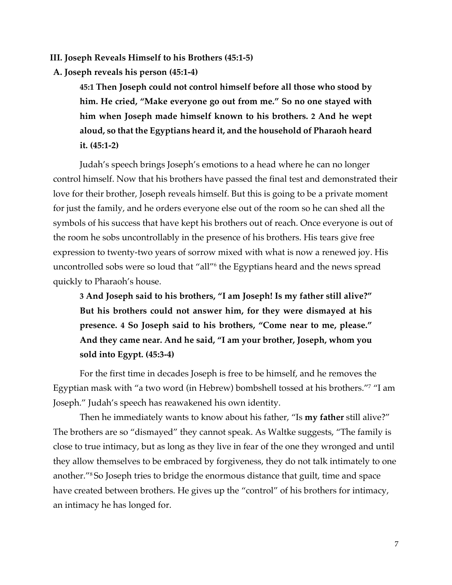**III. Joseph Reveals Himself to his Brothers (45:1-5)**

**A. Joseph reveals his person (45:1-4)**

**45:1 Then Joseph could not control himself before all those who stood by him. He cried, "Make everyone go out from me." So no one stayed with him when Joseph made himself known to his brothers. 2 And he wept aloud, so that the Egyptians heard it, and the household of Pharaoh heard it. (45:1-2)**

Judah's speech brings Joseph's emotions to a head where he can no longer control himself. Now that his brothers have passed the final test and demonstrated their love for their brother, Joseph reveals himself. But this is going to be a private moment for just the family, and he orders everyone else out of the room so he can shed all the symbols of his success that have kept his brothers out of reach. Once everyone is out of the room he sobs uncontrollably in the presence of his brothers. His tears give free expression to twenty-two years of sorrow mixed with what is now a renewed joy. His uncontrolled sobs were so loud that "all"6 the Egyptians heard and the news spread quickly to Pharaoh's house.

**3 And Joseph said to his brothers, "I am Joseph! Is my father still alive?" But his brothers could not answer him, for they were dismayed at his presence. 4 So Joseph said to his brothers, "Come near to me, please." And they came near. And he said, "I am your brother, Joseph, whom you sold into Egypt. (45:3-4)**

For the first time in decades Joseph is free to be himself, and he removes the Egyptian mask with "a two word (in Hebrew) bombshell tossed at his brothers."7 "I am Joseph." Judah's speech has reawakened his own identity.

Then he immediately wants to know about his father, "Is **my father** still alive?" The brothers are so "dismayed" they cannot speak. As Waltke suggests, "The family is close to true intimacy, but as long as they live in fear of the one they wronged and until they allow themselves to be embraced by forgiveness, they do not talk intimately to one another."8 So Joseph tries to bridge the enormous distance that guilt, time and space have created between brothers. He gives up the "control" of his brothers for intimacy, an intimacy he has longed for.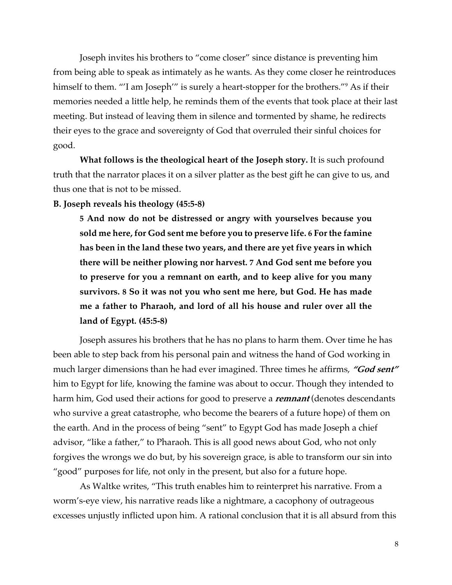Joseph invites his brothers to "come closer" since distance is preventing him from being able to speak as intimately as he wants. As they come closer he reintroduces himself to them. "'I am Joseph'" is surely a heart-stopper for the brothers."<sup>9</sup> As if their memories needed a little help, he reminds them of the events that took place at their last meeting. But instead of leaving them in silence and tormented by shame, he redirects their eyes to the grace and sovereignty of God that overruled their sinful choices for good.

**What follows is the theological heart of the Joseph story.** It is such profound truth that the narrator places it on a silver platter as the best gift he can give to us, and thus one that is not to be missed.

**B. Joseph reveals his theology (45:5-8)**

**5 And now do not be distressed or angry with yourselves because you sold me here, for God sent me before you to preserve life. 6 For the famine has been in the land these two years, and there are yet five years in which there will be neither plowing nor harvest. 7 And God sent me before you to preserve for you a remnant on earth, and to keep alive for you many survivors. 8 So it was not you who sent me here, but God. He has made me a father to Pharaoh, and lord of all his house and ruler over all the land of Egypt. (45:5-8)**

Joseph assures his brothers that he has no plans to harm them. Over time he has been able to step back from his personal pain and witness the hand of God working in much larger dimensions than he had ever imagined. Three times he affirms, **"God sent"** him to Egypt for life, knowing the famine was about to occur. Though they intended to harm him, God used their actions for good to preserve a **remnant** (denotes descendants who survive a great catastrophe, who become the bearers of a future hope) of them on the earth. And in the process of being "sent" to Egypt God has made Joseph a chief advisor, "like a father," to Pharaoh. This is all good news about God, who not only forgives the wrongs we do but, by his sovereign grace, is able to transform our sin into "good" purposes for life, not only in the present, but also for a future hope.

As Waltke writes, "This truth enables him to reinterpret his narrative. From a worm's-eye view, his narrative reads like a nightmare, a cacophony of outrageous excesses unjustly inflicted upon him. A rational conclusion that it is all absurd from this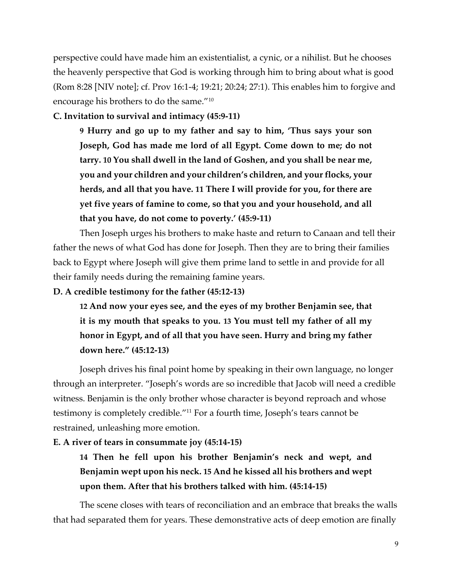perspective could have made him an existentialist, a cynic, or a nihilist. But he chooses the heavenly perspective that God is working through him to bring about what is good (Rom 8:28 [NIV note]; cf. Prov 16:1-4; 19:21; 20:24; 27:1). This enables him to forgive and encourage his brothers to do the same."10

## **C. Invitation to survival and intimacy (45:9-11)**

**9 Hurry and go up to my father and say to him, 'Thus says your son Joseph, God has made me lord of all Egypt. Come down to me; do not tarry. 10 You shall dwell in the land of Goshen, and you shall be near me, you and your children and your children's children, and your flocks, your herds, and all that you have. 11 There I will provide for you, for there are yet five years of famine to come, so that you and your household, and all that you have, do not come to poverty.' (45:9-11)**

Then Joseph urges his brothers to make haste and return to Canaan and tell their father the news of what God has done for Joseph. Then they are to bring their families back to Egypt where Joseph will give them prime land to settle in and provide for all their family needs during the remaining famine years.

## **D. A credible testimony for the father (45:12-13)**

**12 And now your eyes see, and the eyes of my brother Benjamin see, that it is my mouth that speaks to you. 13 You must tell my father of all my honor in Egypt, and of all that you have seen. Hurry and bring my father down here." (45:12-13)**

Joseph drives his final point home by speaking in their own language, no longer through an interpreter. "Joseph's words are so incredible that Jacob will need a credible witness. Benjamin is the only brother whose character is beyond reproach and whose testimony is completely credible."11 For a fourth time, Joseph's tears cannot be restrained, unleashing more emotion.

# **E. A river of tears in consummate joy (45:14-15)**

**14 Then he fell upon his brother Benjamin's neck and wept, and Benjamin wept upon his neck. 15 And he kissed all his brothers and wept upon them. After that his brothers talked with him. (45:14-15)**

The scene closes with tears of reconciliation and an embrace that breaks the walls that had separated them for years. These demonstrative acts of deep emotion are finally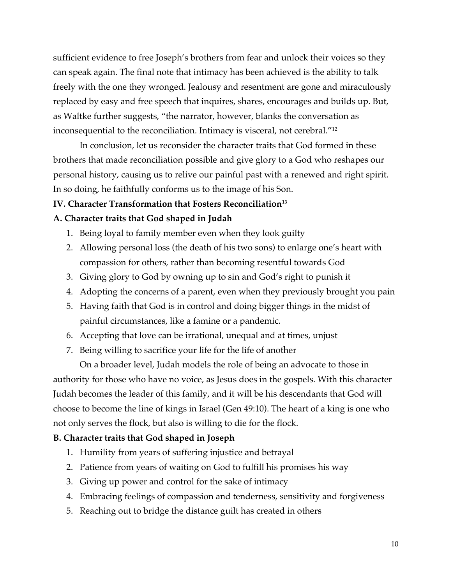sufficient evidence to free Joseph's brothers from fear and unlock their voices so they can speak again. The final note that intimacy has been achieved is the ability to talk freely with the one they wronged. Jealousy and resentment are gone and miraculously replaced by easy and free speech that inquires, shares, encourages and builds up. But, as Waltke further suggests, "the narrator, however, blanks the conversation as inconsequential to the reconciliation. Intimacy is visceral, not cerebral."12

In conclusion, let us reconsider the character traits that God formed in these brothers that made reconciliation possible and give glory to a God who reshapes our personal history, causing us to relive our painful past with a renewed and right spirit. In so doing, he faithfully conforms us to the image of his Son.

## **IV.** Character Transformation that Fosters Reconciliation<sup>13</sup>

## **A. Character traits that God shaped in Judah**

- 1. Being loyal to family member even when they look guilty
- 2. Allowing personal loss (the death of his two sons) to enlarge one's heart with compassion for others, rather than becoming resentful towards God
- 3. Giving glory to God by owning up to sin and God's right to punish it
- 4. Adopting the concerns of a parent, even when they previously brought you pain
- 5. Having faith that God is in control and doing bigger things in the midst of painful circumstances, like a famine or a pandemic.
- 6. Accepting that love can be irrational, unequal and at times, unjust
- 7. Being willing to sacrifice your life for the life of another

On a broader level, Judah models the role of being an advocate to those in authority for those who have no voice, as Jesus does in the gospels. With this character Judah becomes the leader of this family, and it will be his descendants that God will choose to become the line of kings in Israel (Gen 49:10). The heart of a king is one who not only serves the flock, but also is willing to die for the flock.

### **B. Character traits that God shaped in Joseph**

- 1. Humility from years of suffering injustice and betrayal
- 2. Patience from years of waiting on God to fulfill his promises his way
- 3. Giving up power and control for the sake of intimacy
- 4. Embracing feelings of compassion and tenderness, sensitivity and forgiveness
- 5. Reaching out to bridge the distance guilt has created in others